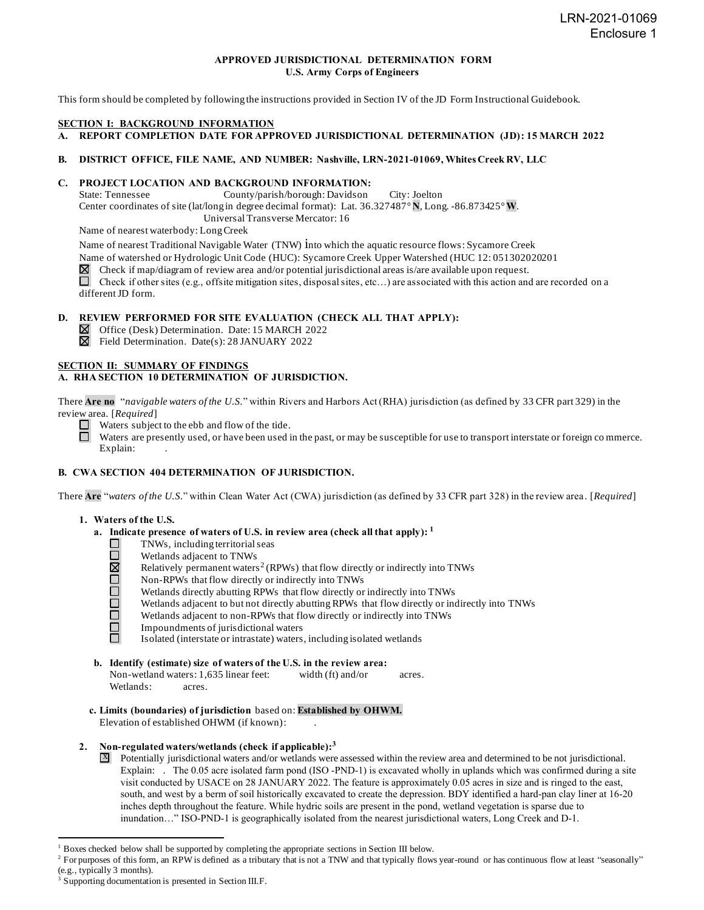## **APPROVED JURISDICTIONAL DETERMINATION FORM U.S. Army Corps of Engineers**

This form should be completed by following the instructions provided in Section IV of the JD Form Instructional Guidebook.

#### **SECTION I: BACKGROUND INFORMATION**

**A. REPORT COMPLETION DATE FOR APPROVED JURISDICTIONAL DETERMINATION (JD): 15 MARCH 2022**

## **B. DISTRICT OFFICE, FILE NAME, AND NUMBER: Nashville, LRN-2021-01069, Whites Creek RV, LLC**

# **C. PROJECT LOCATION AND BACKGROUND INFORMATION:**<br>State: Tennessee County/parish/borough: Davidson

County/parish/borough: Davidson City: Joelton Center coordinates of site (lat/long in degree decimal format): Lat. 36.327487° **N**, Long. -86.873425° **W**. Universal Transverse Mercator: 16

Name of nearest waterbody: Long Creek

Name of nearest Traditional Navigable Water (TNW) into which the aquatic resource flows: Sycamore Creek

Name of watershed or Hydrologic Unit Code (HUC): Sycamore Creek Upper Watershed (HUC 12: 051302020201

 $\boxtimes$  Check if map/diagram of review area and/or potential jurisdictional areas is/are available upon request.

Check if other sites (e.g., offsite mitigation sites, disposal sites, etc...) are associated with this action and are recorded on a different JD form.

#### **D. REVIEW PERFORMED FOR SITE EVALUATION (CHECK ALL THAT APPLY):**

Office (Desk) Determination. Date: 15 MARCH 2022

Field Determination. Date(s): 28 JANUARY 2022

#### **SECTION II: SUMMARY OF FINDINGS**

## **A. RHA SECTION 10 DETERMINATION OF JURISDICTION.**

There **Are no** "*navigable waters of the U.S.*" within Rivers and Harbors Act (RHA) jurisdiction (as defined by 33 CFR part 329) in the review area. [*Required*]

 $\Box$  Waters subject to the ebb and flow of the tide.

 $\Box$ Waters are presently used, or have been used in the past, or may be susceptible for use to transport interstate or foreign co mmerce. Explain:

#### **B. CWA SECTION 404 DETERMINATION OF JURISDICTION.**

There **Are** "*waters of the U.S.*" within Clean Water Act (CWA) jurisdiction (as defined by 33 CFR part 328) in the review area . [*Required*]

#### **1. Waters of the U.S.**

- **a. Indicate presence of waters of U.S. in review area (check all that apply): 1**
	- TNWs, including territorial seas
	- Wetlands adjacent to TNWs
	- ODORO Relatively permanent waters<sup>2</sup> (RPWs) that flow directly or indirectly into TNWs
	- Non-RPWs that flow directly or indirectly into TNWs
	- Wetlands directly abutting RPWs that flow directly or indirectly into TNWs
	- Wetlands adjacent to but not directly abutting RPWs that flow directly or indirectly into TNWs
	- ō Wetlands adjacent to non-RPWs that flow directly or indirectly into TNWs
	- $\Box$ Impoundments of jurisdictional waters ñ.

Isolated (interstate or intrastate) waters, including isolated wetlands

**b. Identify (estimate) size of waters of the U.S. in the review area:**

Non-wetland waters: 1,635 linear feet: width (ft) and/or acres. Wetlands: acres.

**c. Limits (boundaries) of jurisdiction** based on: **Established by OHWM.** Elevation of established OHWM (if known): .

#### **2. Non-regulated waters/wetlands (check if applicable): 3**

 $\overline{X}$  Potentially jurisdictional waters and/or wetlands were assessed within the review area and determined to be not jurisdictional. Explain: . The 0.05 acre isolated farm pond (ISO -PND-1) is excavated wholly in uplands which was confirmed during a site visit conducted by USACE on 28 JANUARY 2022. The feature is approximately 0.05 acres in size and is ringed to the east, south, and west by a berm of soil historically excavated to create the depression. BDY identified a hard-pan clay liner at 16-20 inches depth throughout the feature. While hydric soils are present in the pond, wetland vegetation is sparse due to inundation…" ISO-PND-1 is geographically isolated from the nearest jurisdictional waters, Long Creek and D-1.

<sup>1</sup> Boxes checked below shall be supported by completing the appropriate sections in Section III below.

<sup>&</sup>lt;sup>2</sup> For purposes of this form, an RPW is defined as a tributary that is not a TNW and that typically flows year-round or has continuous flow at least "seasonally" (e.g., typically 3 months).

<sup>&</sup>lt;sup>3</sup> Supporting documentation is presented in Section III.F.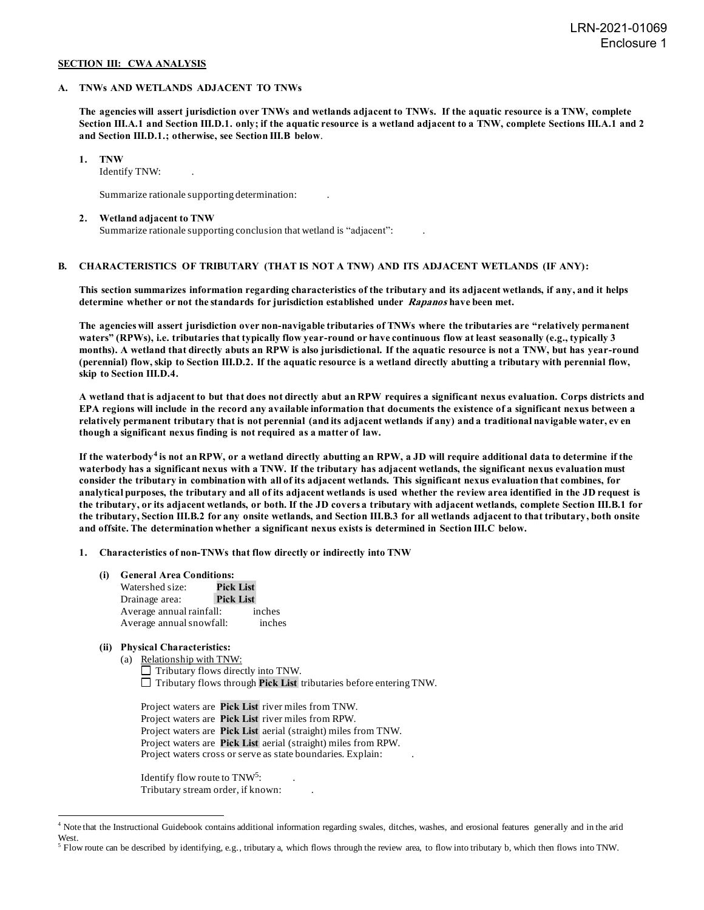## **SECTION III: CWA ANALYSIS**

#### **A. TNWs AND WETLANDS ADJACENT TO TNWs**

**The agencies will assert jurisdiction over TNWs and wetlands adjacent to TNWs. If the aquatic resource is a TNW, complete Section III.A.1 and Section III.D.1. only; if the aquatic resource is a wetland adjacent to a TNW, complete Sections III.A.1 and 2 and Section III.D.1.; otherwise, see Section III.B below**.

**1. TNW**

Identify TNW: .

Summarize rationale supporting determination: .

#### **2. Wetland adjacent to TNW**

Summarize rationale supporting conclusion that wetland is "adjacent": .

#### **B. CHARACTERISTICS OF TRIBUTARY (THAT IS NOT A TNW) AND ITS ADJACENT WETLANDS (IF ANY):**

**This section summarizes information regarding characteristics of the tributary and its adjacent wetlands, if any, and it helps determine whether or not the standards for jurisdiction established under Rapanos have been met.**

**The agencies will assert jurisdiction over non-navigable tributaries of TNWs where the tributaries are "relatively permanent waters" (RPWs), i.e. tributaries that typically flow year-round or have continuous flow at least seasonally (e.g., typically 3 months). A wetland that directly abuts an RPW is also jurisdictional. If the aquatic resource is not a TNW, but has year-round (perennial) flow, skip to Section III.D.2. If the aquatic resource is a wetland directly abutting a tributary with perennial flow, skip to Section III.D.4.**

**A wetland that is adjacent to but that does not directly abut an RPW requires a significant nexus evaluation. Corps districts and EPA regions will include in the record any available information that documents the existence of a significant nexus between a relatively permanent tributary that is not perennial (and its adjacent wetlands if any) and a traditional navigable water, ev en though a significant nexus finding is not required as a matter of law.**

**If the waterbody<sup>4</sup> is not an RPW, or a wetland directly abutting an RPW, a JD will require additional data to determine if the waterbody has a significant nexus with a TNW. If the tributary has adjacent wetlands, the significant nexus evaluation must consider the tributary in combination with all of its adjacent wetlands. This significant nexus evaluation that combines, for analytical purposes, the tributary and all of its adjacent wetlands is used whether the review area identified in the JD request is the tributary, or its adjacent wetlands, or both. If the JD covers a tributary with adjacent wetlands, complete Section III.B.1 for the tributary, Section III.B.2 for any onsite wetlands, and Section III.B.3 for all wetlands adjacent to that tributary, both onsite and offsite. The determination whether a significant nexus exists is determined in Section III.C below.**

**1. Characteristics of non-TNWs that flow directly or indirectly into TNW**

**(i) General Area Conditions:**

| Watershed size:          | <b>Pick List</b> |  |
|--------------------------|------------------|--|
| Drainage area:           | <b>Pick List</b> |  |
| Average annual rainfall: | inches           |  |
| Average annual snowfall: | inches           |  |

## **(ii) Physical Characteristics:**

(a) Relationship with TNW:

 $\Box$  Tributary flows directly into TNW. Tributary flows through **Pick List** tributaries before entering TNW.

Project waters are **Pick List** river miles from TNW. Project waters are **Pick List** river miles from RPW. Project waters are **Pick List** aerial (straight) miles from TNW. Project waters are **Pick List** aerial (straight) miles from RPW. Project waters cross or serve as state boundaries. Explain:

Identify flow route to TNW<sup>5</sup>:  $:$  . Tributary stream order, if known: .

<sup>4</sup> Note that the Instructional Guidebook contains additional information regarding swales, ditches, washes, and erosional features generally and in the arid West.

 $<sup>5</sup>$  Flow route can be described by identifying, e.g., tributary a, which flows through the review area, to flow into tributary b, which then flows into TNW.</sup>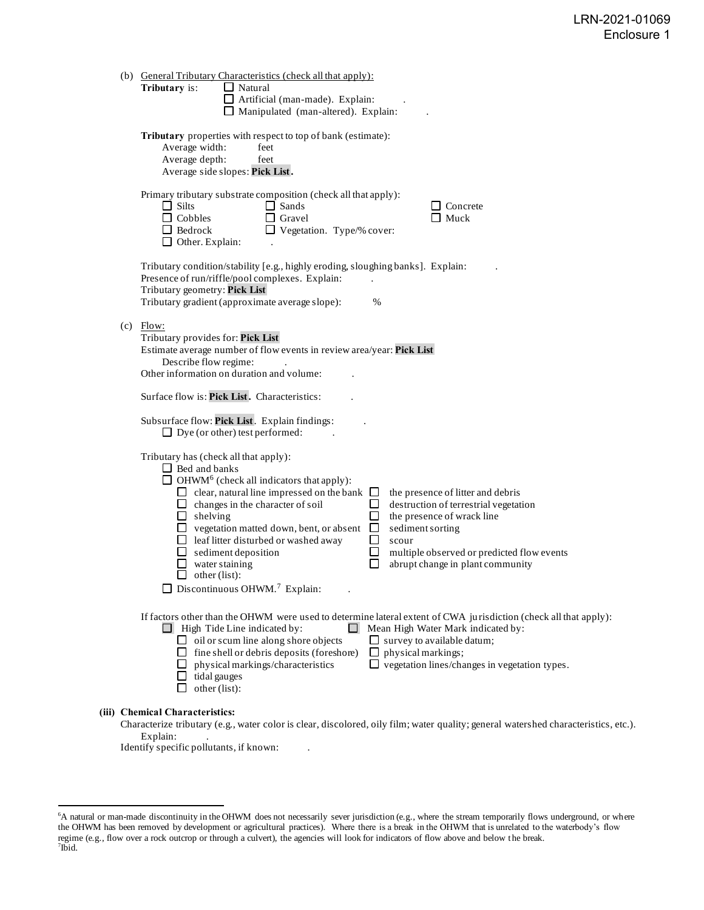| If factors other than the OHWM were used to determine lateral extent of CWA jurisdiction (check all that apply): |
|------------------------------------------------------------------------------------------------------------------|
|                                                                                                                  |

#### **(iii) Chemical Characteristics:**

Characterize tributary (e.g., water color is clear, discolored, oily film; water quality; general watershed characteristics, etc.). Explain:

Identify specific pollutants, if known:

<sup>&</sup>lt;sup>6</sup>A natural or man-made discontinuity in the OHWM does not necessarily sever jurisdiction (e.g., where the stream temporarily flows underground, or where the OHWM has been removed by development or agricultural practices). Where there is a break in the OHWM that is unrelated to the waterbody's flow regime (e.g., flow over a rock outcrop or through a culvert), the agencies will look for indicators of flow above and below the break.<br><sup>7</sup>Ibid.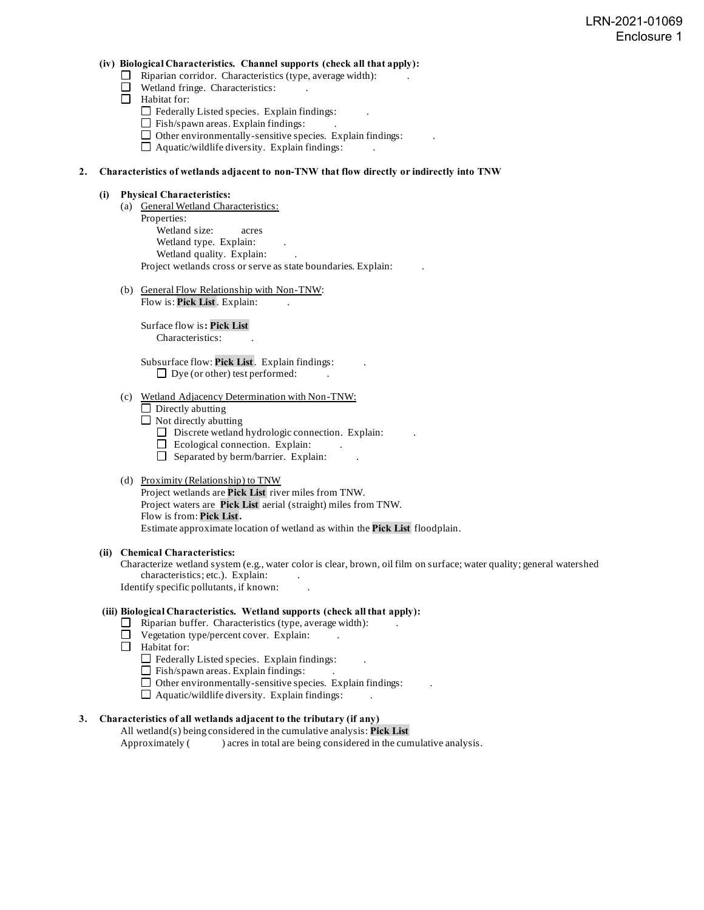## **(iv) Biological Characteristics. Channel supports (check all that apply):**

- $\Box$  Riparian corridor. Characteristics (type, average width):
- Wetland fringe. Characteristics:
- Habitat for:
	- $\Box$  Federally Listed species. Explain findings:
	- $\Box$  Fish/spawn areas. Explain findings:
	- $\Box$  Other environmentally-sensitive species. Explain findings:
	- $\Box$  Aquatic/wildlife diversity. Explain findings:

#### **2. Characteristics of wetlands adjacent to non-TNW that flow directly or indirectly into TNW**

#### **(i) Physical Characteristics:**

- (a) General Wetland Characteristics: Properties: Wetland size: acres Wetland type. Explain: Wetland quality. Explain: Project wetlands cross or serve as state boundaries. Explain: .
- (b) General Flow Relationship with Non-TNW:

Flow is: **Pick List**. Explain:

Surface flow is**: Pick List**  Characteristics: .

Subsurface flow: **Pick List**. Explain findings: .  $\Box$  Dye (or other) test performed:

# (c) Wetland Adjacency Determination with Non-TNW:

- $\Box$  Directly abutting
- $\Box$  Not directly abutting
	- $\Box$  Discrete wetland hydrologic connection. Explain:
	- $\Box$  Ecological connection. Explain:
	- $\Box$  Separated by berm/barrier. Explain:

#### (d) Proximity (Relationship) to TNW

Project wetlands are **Pick List** river miles from TNW. Project waters are **Pick List** aerial (straight) miles from TNW. Flow is from: **Pick List.** Estimate approximate location of wetland as within the **Pick List** floodplain.

#### **(ii) Chemical Characteristics:**

Characterize wetland system (e.g., water color is clear, brown, oil film on surface; water quality; general watershed characteristics; etc.). Explain: Identify specific pollutants, if known: .

## **(iii) Biological Characteristics. Wetland supports (check all that apply):**

- $\Box$  Riparian buffer. Characteristics (type, average width):
- $\Box$  Vegetation type/percent cover. Explain:
- Habitat for:
	- $\Box$  Federally Listed species. Explain findings:
	- $\Box$  Fish/spawn areas. Explain findings:
	- $\Box$  Other environmentally-sensitive species. Explain findings:
	- $\Box$  Aquatic/wildlife diversity. Explain findings:

# **3. Characteristics of all wetlands adjacent to the tributary (if any)**

All wetland(s) being considered in the cumulative analysis: **Pick List** Approximately () acres in total are being considered in the cumulative analysis.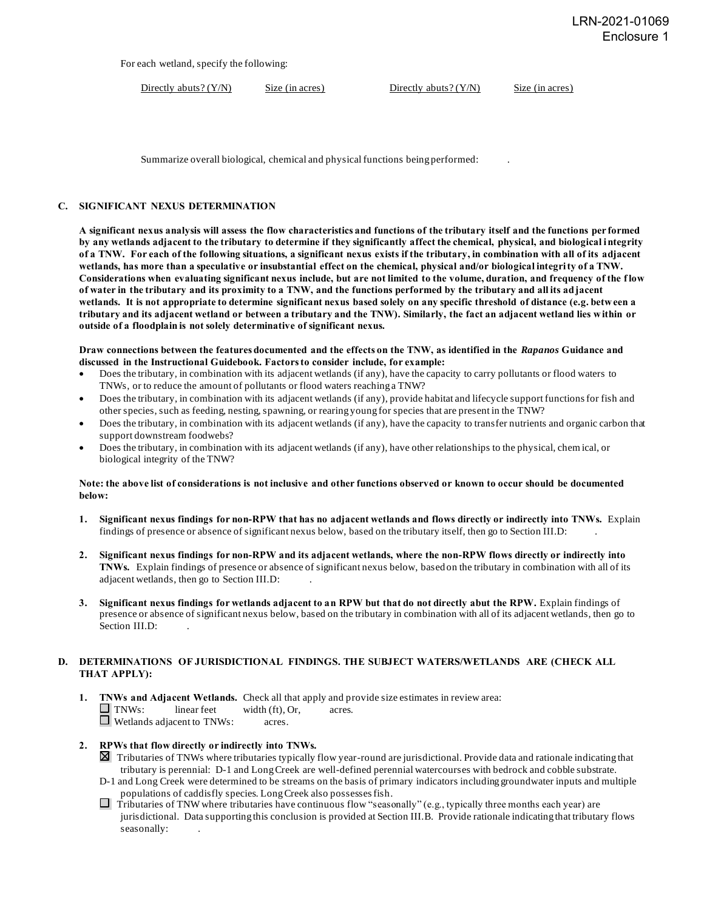For each wetland, specify the following:

Directly abuts? (Y/N) Size (in acres) Directly abuts? (Y/N) Size (in acres)

Summarize overall biological, chemical and physical functions being performed: .

## **C. SIGNIFICANT NEXUS DETERMINATION**

**A significant nexus analysis will assess the flow characteristics and functions of the tributary itself and the functions per formed by any wetlands adjacent to the tributary to determine if they significantly affect the chemical, physical, and biological integrity of a TNW. For each of the following situations, a significant nexus exists if the tributary, in combination with all of its adjacent wetlands, has more than a speculative or insubstantial effect on the chemical, physical and/or biological integrity of a TNW. Considerations when evaluating significant nexus include, but are not limited to the volume, duration, and frequency of the f low of water in the tributary and its proximity to a TNW, and the functions performed by the tributary and all its adjacent wetlands. It is not appropriate to determine significant nexus based solely on any specific threshold of distance (e.g. between a tributary and its adjacent wetland or between a tributary and the TNW). Similarly, the fact an adjacent wetland lies within or outside of a floodplain is not solely determinative of significant nexus.**

**Draw connections between the features documented and the effects on the TNW, as identified in the** *Rapanos* **Guidance and discussed in the Instructional Guidebook. Factors to consider include, for example:**

- Does the tributary, in combination with its adjacent wetlands (if any), have the capacity to carry pollutants or flood waters to TNWs, or to reduce the amount of pollutants or flood waters reaching a TNW?
- Does the tributary, in combination with its adjacent wetlands (if any), provide habitat and lifecycle support functions for fish and other species, such as feeding, nesting, spawning, or rearing young for species that are present in the TNW?
- Does the tributary, in combination with its adjacent wetlands (if any), have the capacity to transfer nutrients and organic carbon that support downstream foodwebs?
- Does the tributary, in combination with its adjacent wetlands (if any), have other relationships to the physical, chem ical, or biological integrity of the TNW?

#### **Note: the above list of considerations is not inclusive and other functions observed or known to occur should be documented below:**

- **1. Significant nexus findings for non-RPW that has no adjacent wetlands and flows directly or indirectly into TNWs.** Explain findings of presence or absence of significant nexus below, based on the tributary itself, then go to Section III.D: .
- **2. Significant nexus findings for non-RPW and its adjacent wetlands, where the non-RPW flows directly or indirectly into TNWs.** Explain findings of presence or absence of significant nexus below, based on the tributary in combination with all of its adjacent wetlands, then go to Section III.D: .
- **3. Significant nexus findings for wetlands adjacent to an RPW but that do not directly abut the RPW.** Explain findings of presence or absence of significant nexus below, based on the tributary in combination with all of its adjacent wetlands, then go to Section III.D:

## **D. DETERMINATIONS OF JURISDICTIONAL FINDINGS. THE SUBJECT WATERS/WETLANDS ARE (CHECK ALL THAT APPLY):**

**1. TNWs and Adjacent Wetlands.** Check all that apply and provide size estimates in review area:<br>
TNWs: linear feet width (ft), Or, acres.  $linear feet \t width (ft), Or, \t acres.$ Wetlands adjacent to TNWs: acres.

# **2. RPWs that flow directly or indirectly into TNWs.**

- Tributaries of TNWs where tributaries typically flow year-round are jurisdictional. Provide data and rationale indicating that tributary is perennial: D-1 and Long Creek are well-defined perennial watercourses with bedrock and cobble substrate.
- D-1 and Long Creek were determined to be streams on the basis of primary indicators including groundwater inputs and multiple populations of caddisfly species. Long Creek also possesses fish.
- $\Box$  Tributaries of TNW where tributaries have continuous flow "seasonally" (e.g., typically three months each year) are jurisdictional. Data supporting this conclusion is provided at Section III.B. Provide rationale indicating that tributary flows seasonally: .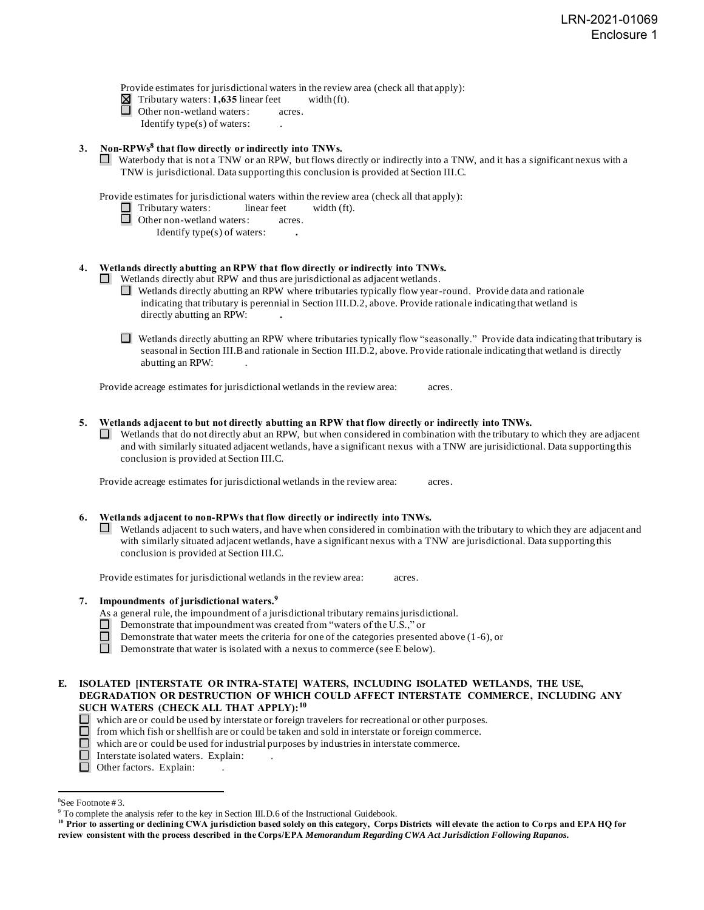Provide estimates for jurisdictional waters in the review area (check all that apply):

 $\boxtimes$  Tributary waters: **1,635** linear feet width (ft).

Other non-wetland waters: acres. Identify type $(s)$  of waters:

# **3. Non-RPWs<sup>8</sup> that flow directly or indirectly into TNWs.**

Waterbody that is not a TNW or an RPW, but flows directly or indirectly into a TNW, and it has a significant nexus with a TNW is jurisdictional. Data supporting this conclusion is provided at Section III.C.

Provide estimates for jurisdictional waters within the review area (check all that apply):

- $\Box$  Tributary waters: linear feet width (ft).
- Other non-wetland waters: acres.
	- Identify type(s) of waters: **.**

# **4. Wetlands directly abutting an RPW that flow directly or indirectly into TNWs.**

- Wetlands directly abut RPW and thus are jurisdictional as adjacent wetlands.
	- Wetlands directly abutting an RPW where tributaries typically flow year-round. Provide data and rationale indicating that tributary is perennial in Section III.D.2, above. Provide rationale indicating that wetland is directly abutting an RPW: **.**
	- $\Box$  Wetlands directly abutting an RPW where tributaries typically flow "seasonally." Provide data indicating that tributary is seasonal in Section III.B and rationale in Section III.D.2, above. Provide rationale indicating that wetland is directly abutting an RPW: .

Provide acreage estimates for jurisdictional wetlands in the review area: acres.

#### **5. Wetlands adjacent to but not directly abutting an RPW that flow directly or indirectly into TNWs.**

 $\Box$  Wetlands that do not directly abut an RPW, but when considered in combination with the tributary to which they are adjacent and with similarly situated adjacent wetlands, have a significant nexus with a TNW are jurisidictional. Data supporting this conclusion is provided at Section III.C.

Provide acreage estimates for jurisdictional wetlands in the review area: acres.

## **6. Wetlands adjacent to non-RPWs that flow directly or indirectly into TNWs.**

 $\Box$  Wetlands adjacent to such waters, and have when considered in combination with the tributary to which they are adjacent and with similarly situated adjacent wetlands, have a significant nexus with a TNW are jurisdictional. Data supporting this conclusion is provided at Section III.C.

Provide estimates for jurisdictional wetlands in the review area: acres.

## **7. Impoundments of jurisdictional waters. 9**

As a general rule, the impoundment of a jurisdictional tributary remains jurisdictional.

- П Demonstrate that impoundment was created from "waters of the U.S.," or
- П Demonstrate that water meets the criteria for one of the categories presented above (1-6), or
- $\Box$ Demonstrate that water is isolated with a nexus to commerce (see E below).

## **E. ISOLATED [INTERSTATE OR INTRA-STATE] WATERS, INCLUDING ISOLATED WETLANDS, THE USE, DEGRADATION OR DESTRUCTION OF WHICH COULD AFFECT INTERSTATE COMMERCE, INCLUDING ANY SUCH WATERS (CHECK ALL THAT APPLY):<sup>10</sup>**

- $\Box$  which are or could be used by interstate or foreign travelers for recreational or other purposes.
- $\Box$  from which fish or shell fish are or could be taken and sold in interstate or foreign commerce.
- $\Box$  which are or could be used for industrial purposes by industries in interstate commerce.
- Interstate isolated waters.Explain: .
- Other factors. Explain:

<sup>8</sup>See Footnote # 3.

<sup>&</sup>lt;sup>9</sup> To complete the analysis refer to the key in Section III.D.6 of the Instructional Guidebook.

**<sup>10</sup> Prior to asserting or declining CWA jurisdiction based solely on this category, Corps Districts will elevate the action to Corps and EPA HQ for review consistent with the process described in the Corps/EPA** *Memorandum Regarding CWA Act Jurisdiction Following Rapanos.*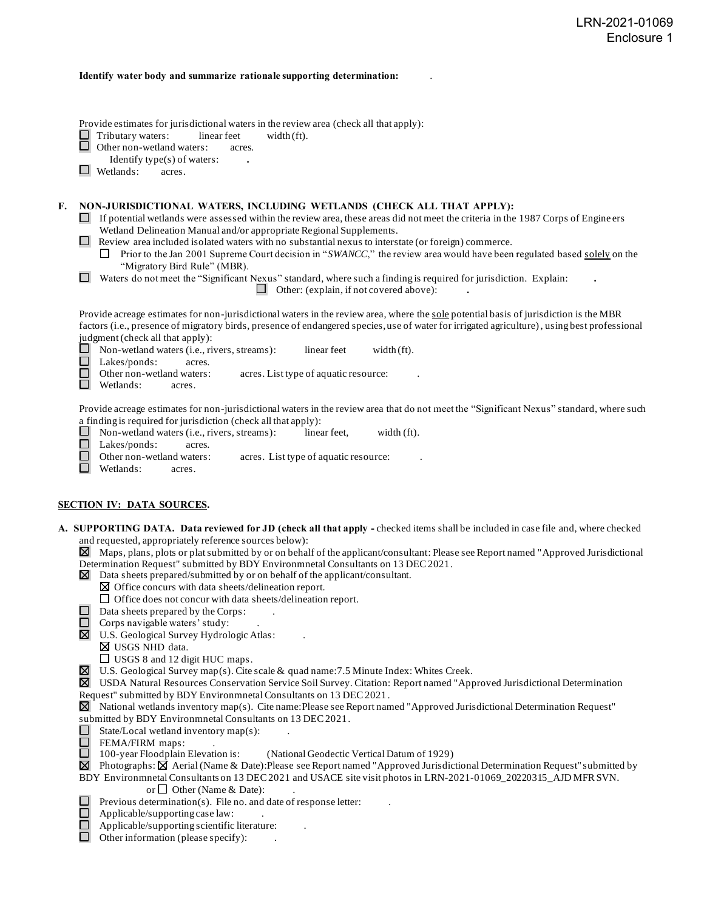#### **Identify water body and summarize rationale supporting determination:** .

Provide estimates for jurisdictional waters in the review area (check all that apply):

 $\Box$  Tributary waters: linear feet width (ft).<br> $\Box$  Other non-wetland waters: acres.

Other non-wetland waters: acres.

- Identify type(s) of waters: **.**
- Wetlands: acres.

## **F. NON-JURISDICTIONAL WATERS, INCLUDING WETLANDS (CHECK ALL THAT APPLY):**

- $\Box$  If potential wetlands were assessed within the review area, these areas did not meet the criteria in the 1987 Corps of Engine ers Wetland Delineation Manual and/or appropriate Regional Supplements.
- Review area included isolated waters with no substantial nexus to interstate (or foreign) commerce.
	- П. Prior to the Jan 2001 Supreme Court decision in "*SWANCC*," the review area would have been regulated based solely on the "Migratory Bird Rule" (MBR).
- Waters do not meet the "Significant Nexus" standard, where such a finding is required for jurisdiction. Explain: **.**

Other: (explain, if not covered above): **.**

Provide acreage estimates for non-jurisdictional waters in the review area, where the sole potential basis of jurisdiction is the MBR factors (i.e., presence of migratory birds, presence of endangered species, use of water for irrigated agriculture), using best professional judgment (check all that apply):

 $\Box$  Non-wetland waters (i.e., rivers, streams): linear feet width (ft).

Lakes/ponds: acres.

 $\Box$ Other non-wetland waters: acres. List type of aquatic resource:

n. Wetlands: acres.

Provide acreage estimates for non-jurisdictional waters in the review area that do not meet the "Significant Nexus" standard, where such a finding is required for jurisdiction (check all that apply):

 $\Box$ Non-wetland waters (i.e., rivers, streams): linear feet, width (ft).

□ Lakes/ponds: acres.

- $\Box$ Other non-wetland waters: acres. List type of aquatic resource:
- Wetlands: acres.

## **SECTION IV: DATA SOURCES.**

**A. SUPPORTING DATA. Data reviewed for JD (check all that apply -** checked items shall be included in case file and, where checked and requested, appropriately reference sources below):

 $\boxtimes$  Maps, plans, plots or plat submitted by or on behalf of the applicant/consultant: Please see Report named "Approved Jurisdictional" Determination Request" submitted by BDY Environmnetal Consultants on 13 DEC 2021.

- $\boxtimes$  Data sheets prepared/submitted by or on behalf of the applicant/consultant.
	- $\boxtimes$  Office concurs with data sheets/delineation report.
	- Office does not concur with data sheets/delineation report.
- $\Box$  Data sheets prepared by the Corps:
- $\Box$  Corps navigable waters' study:
- U.S. Geological Survey Hydrologic Atlas: .
	- USGS NHD data.
	- □ USGS 8 and 12 digit HUC maps.
- $\boxtimes$  U.S. Geological Survey map(s). Cite scale & quad name: 7.5 Minute Index: Whites Creek.

USDA Natural Resources Conservation Service Soil Survey. Citation: Report named "Approved Jurisdictional Determination Request" submitted by BDY Environmnetal Consultants on 13 DEC 2021 .

- $\boxtimes$  National wetlands inventory map(s). Cite name: Please see Report named "Approved Jurisdictional Determination Request" submitted by BDY Environmnetal Consultants on 13 DEC 2021.
- State/Local wetland inventory map(s):
- $\Box$
- □ FEMA/FIRM maps:<br>□ 100-year Floodplain Elevation is: (National Geodectic Vertical Datum of 1929)
- ⊠ Photographs: **Ø** Aerial (Name & Date):Please see Report named "Approved Jurisdictional Determination Request" submitted by
- BDY Environmnetal Consultants on 13 DEC 2021 and USACE site visit photos in LRN-2021-01069\_20220315\_AJD MFR SVN. or  $\Box$  Other (Name & Date):
- Previous determination(s). File no. and date of response letter:  $\mathcal{L}_{\mathcal{A}}$
- □ Applicable/supporting case law: .
	- Applicable/supporting scientific literature: .
- $\Box$  Other information (please specify):